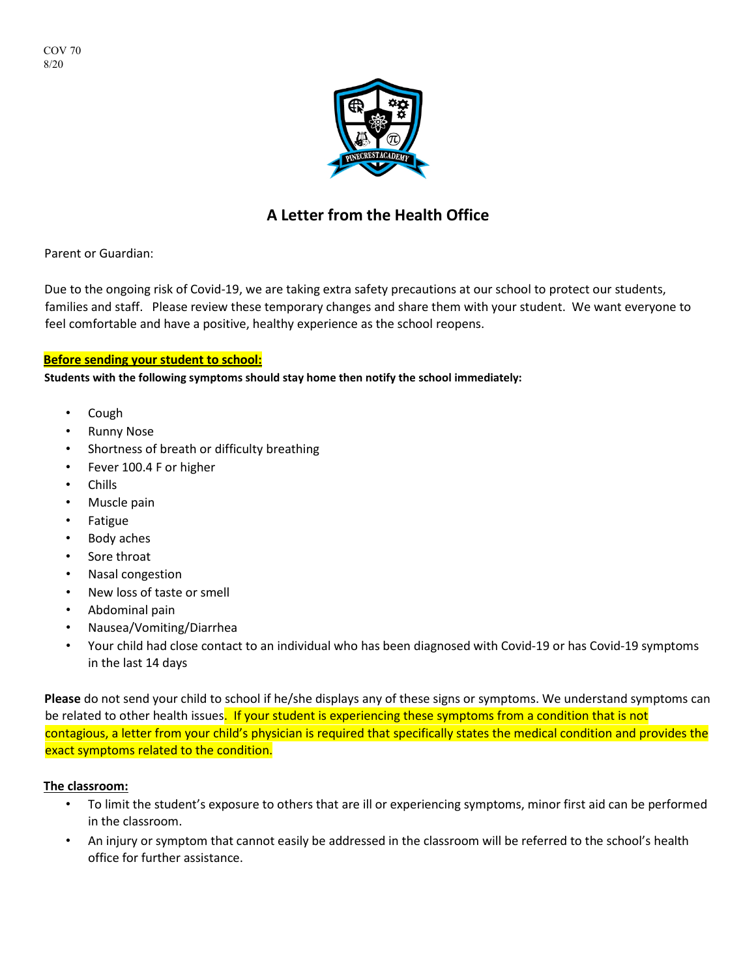

# **A Letter from the Health Office**

Parent or Guardian:

Due to the ongoing risk of Covid-19, we are taking extra safety precautions at our school to protect our students, families and staff. Please review these temporary changes and share them with your student. We want everyone to feel comfortable and have a positive, healthy experience as the school reopens.

## **Before sending your student to school:**

**Students with the following symptoms should stay home then notify the school immediately:** 

- Cough
- Runny Nose
- Shortness of breath or difficulty breathing
- Fever 100.4 F or higher
- Chills
- Muscle pain
- Fatigue
- Body aches
- Sore throat
- Nasal congestion
- New loss of taste or smell
- Abdominal pain
- Nausea/Vomiting/Diarrhea
- Your child had close contact to an individual who has been diagnosed with Covid-19 or has Covid-19 symptoms in the last 14 days

**Please** do not send your child to school if he/she displays any of these signs or symptoms. We understand symptoms can be related to other health issues. If your student is experiencing these symptoms from a condition that is not contagious, a letter from your child's physician is required that specifically states the medical condition and provides the exact symptoms related to the condition.

#### **The classroom:**

- To limit the student's exposure to others that are ill or experiencing symptoms, minor first aid can be performed in the classroom.
- An injury or symptom that cannot easily be addressed in the classroom will be referred to the school's health office for further assistance.